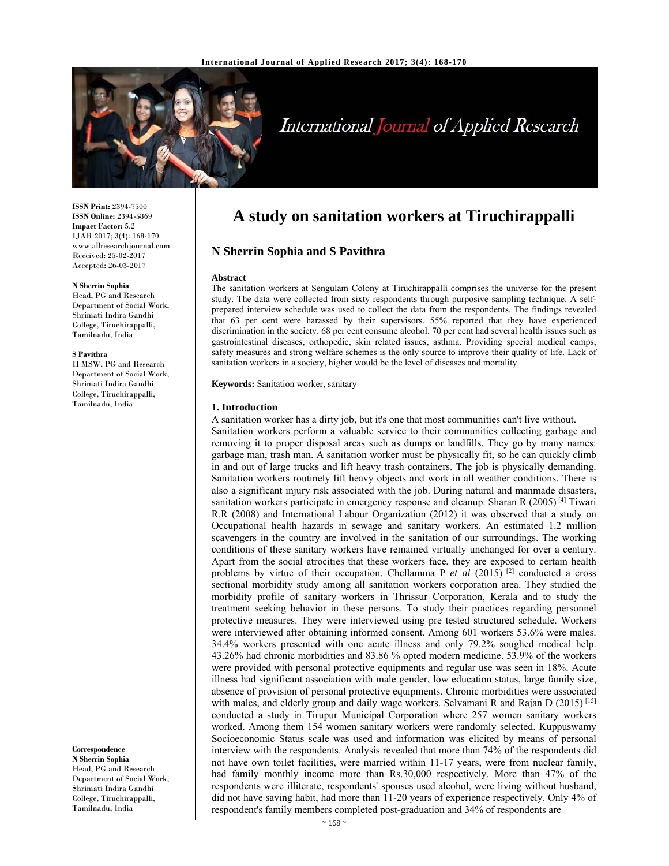

# International Journal of Applied Research

**ISSN Print:** 2394-7500 **ISSN Online:** 2394-5869 **Impact Factor:** 5.2 IJAR 2017; 3(4): 168-170 www.allresearchjournal.com Received: 25-02-2017 Accepted: 26-03-2017

#### **N Sherrin Sophia**

Head, PG and Research Department of Social Work, Shrimati Indira Gandhi College, Tiruchirappalli, Tamilnadu, India

#### **S Pavithra**

II MSW, PG and Research Department of Social Work, Shrimati Indira Gandhi College, Tiruchirappalli, Tamilnadu, India

**Correspondence N Sherrin Sophia**  Head, PG and Research Department of Social Work, Shrimati Indira Gandhi College, Tiruchirappalli,

Tamilnadu, India

# **A study on sanitation workers at Tiruchirappalli**

# **N Sherrin Sophia and S Pavithra**

#### **Abstract**

The sanitation workers at Sengulam Colony at Tiruchirappalli comprises the universe for the present study. The data were collected from sixty respondents through purposive sampling technique. A selfprepared interview schedule was used to collect the data from the respondents. The findings revealed that 63 per cent were harassed by their supervisors. 55% reported that they have experienced discrimination in the society. 68 per cent consume alcohol. 70 per cent had several health issues such as gastrointestinal diseases, orthopedic, skin related issues, asthma. Providing special medical camps, safety measures and strong welfare schemes is the only source to improve their quality of life. Lack of sanitation workers in a society, higher would be the level of diseases and mortality.

**Keywords:** Sanitation worker, sanitary

#### **1. Introduction**

A sanitation worker has a dirty job, but it's one that most communities can't live without. Sanitation workers perform a valuable service to their communities collecting garbage and removing it to proper disposal areas such as dumps or landfills. They go by many names: garbage man, trash man. A sanitation worker must be physically fit, so he can quickly climb in and out of large trucks and lift heavy trash containers. The job is physically demanding. Sanitation workers routinely lift heavy objects and work in all weather conditions. There is also a significant injury risk associated with the job. During natural and manmade disasters, sanitation workers participate in emergency response and cleanup. Sharan R  $(2005)^{[4]}$  Tiwari R.R (2008) and International Labour Organization (2012) it was observed that a study on Occupational health hazards in sewage and sanitary workers. An estimated 1.2 million scavengers in the country are involved in the sanitation of our surroundings. The working conditions of these sanitary workers have remained virtually unchanged for over a century. Apart from the social atrocities that these workers face, they are exposed to certain health problems by virtue of their occupation. Chellamma P et al (2015)<sup>[2]</sup> conducted a cross sectional morbidity study among all sanitation workers corporation area. They studied the morbidity profile of sanitary workers in Thrissur Corporation, Kerala and to study the treatment seeking behavior in these persons. To study their practices regarding personnel protective measures. They were interviewed using pre tested structured schedule. Workers were interviewed after obtaining informed consent. Among 601 workers 53.6% were males. 34.4% workers presented with one acute illness and only 79.2% soughed medical help. 43.26% had chronic morbidities and 83.86 % opted modern medicine. 53.9% of the workers were provided with personal protective equipments and regular use was seen in 18%. Acute illness had significant association with male gender, low education status, large family size, absence of provision of personal protective equipments. Chronic morbidities were associated with males, and elderly group and daily wage workers. Selvamani R and Rajan D (2015)<sup>[15]</sup> conducted a study in Tirupur Municipal Corporation where 257 women sanitary workers worked. Among them 154 women sanitary workers were randomly selected. Kuppuswamy Socioeconomic Status scale was used and information was elicited by means of personal interview with the respondents. Analysis revealed that more than 74% of the respondents did not have own toilet facilities, were married within 11-17 years, were from nuclear family, had family monthly income more than Rs.30,000 respectively. More than 47% of the respondents were illiterate, respondents' spouses used alcohol, were living without husband, did not have saving habit, had more than 11-20 years of experience respectively. Only 4% of respondent's family members completed post-graduation and 34% of respondents are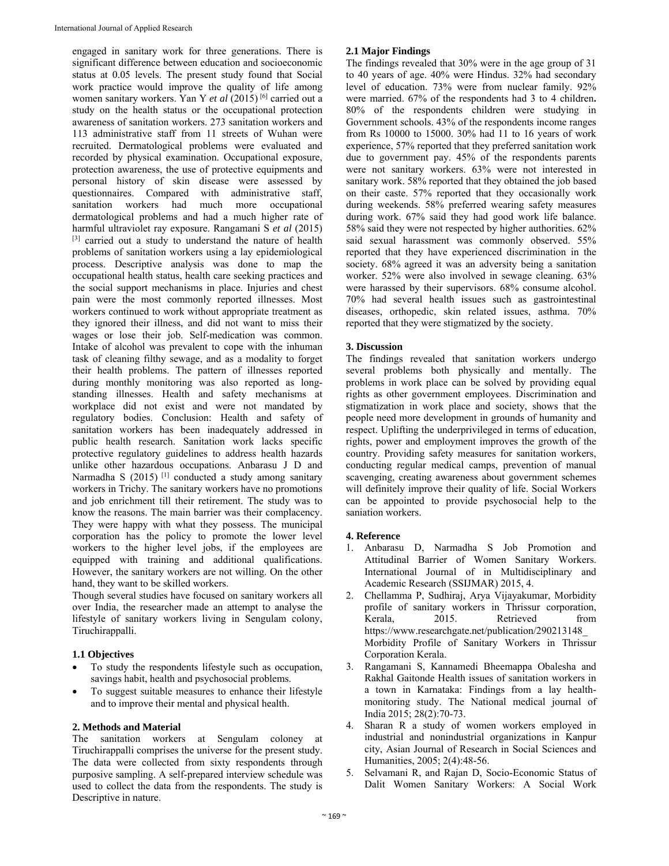engaged in sanitary work for three generations. There is significant difference between education and socioeconomic status at 0.05 levels. The present study found that Social work practice would improve the quality of life among women sanitary workers. Yan Y *et al* (2015) [6] carried out a study on the health status or the occupational protection awareness of sanitation workers. 273 sanitation workers and 113 administrative staff from 11 streets of Wuhan were recruited. Dermatological problems were evaluated and recorded by physical examination. Occupational exposure, protection awareness, the use of protective equipments and personal history of skin disease were assessed by questionnaires. Compared with administrative staff, sanitation workers had much more occupational dermatological problems and had a much higher rate of harmful ultraviolet ray exposure. Rangamani S *et al* (2015) [3] carried out a study to understand the nature of health problems of sanitation workers using a lay epidemiological process. Descriptive analysis was done to map the occupational health status, health care seeking practices and the social support mechanisms in place. Injuries and chest pain were the most commonly reported illnesses. Most workers continued to work without appropriate treatment as they ignored their illness, and did not want to miss their wages or lose their job. Self-medication was common. Intake of alcohol was prevalent to cope with the inhuman task of cleaning filthy sewage, and as a modality to forget their health problems. The pattern of illnesses reported during monthly monitoring was also reported as longstanding illnesses. Health and safety mechanisms at workplace did not exist and were not mandated by regulatory bodies. Conclusion: Health and safety of sanitation workers has been inadequately addressed in public health research. Sanitation work lacks specific protective regulatory guidelines to address health hazards unlike other hazardous occupations. Anbarasu J D and Narmadha S (2015) [1] conducted a study among sanitary workers in Trichy. The sanitary workers have no promotions and job enrichment till their retirement. The study was to know the reasons. The main barrier was their complacency. They were happy with what they possess. The municipal corporation has the policy to promote the lower level workers to the higher level jobs, if the employees are equipped with training and additional qualifications. However, the sanitary workers are not willing. On the other hand, they want to be skilled workers.

Though several studies have focused on sanitary workers all over India, the researcher made an attempt to analyse the lifestyle of sanitary workers living in Sengulam colony, Tiruchirappalli.

## **1.1 Objectives**

- To study the respondents lifestyle such as occupation, savings habit, health and psychosocial problems.
- To suggest suitable measures to enhance their lifestyle and to improve their mental and physical health.

#### **2. Methods and Material**

The sanitation workers at Sengulam coloney at Tiruchirappalli comprises the universe for the present study. The data were collected from sixty respondents through purposive sampling. A self-prepared interview schedule was used to collect the data from the respondents. The study is Descriptive in nature.

#### **2.1 Major Findings**

The findings revealed that 30% were in the age group of 31 to 40 years of age. 40% were Hindus. 32% had secondary level of education. 73% were from nuclear family. 92% were married. 67% of the respondents had 3 to 4 children**.**  80% of the respondents children were studying in Government schools. 43% of the respondents income ranges from Rs 10000 to 15000. 30% had 11 to 16 years of work experience, 57% reported that they preferred sanitation work due to government pay. 45% of the respondents parents were not sanitary workers. 63% were not interested in sanitary work. 58% reported that they obtained the job based on their caste. 57% reported that they occasionally work during weekends. 58% preferred wearing safety measures during work. 67% said they had good work life balance. 58% said they were not respected by higher authorities. 62% said sexual harassment was commonly observed. 55% reported that they have experienced discrimination in the society. 68% agreed it was an adversity being a sanitation worker. 52% were also involved in sewage cleaning. 63% were harassed by their supervisors. 68% consume alcohol. 70% had several health issues such as gastrointestinal diseases, orthopedic, skin related issues, asthma. 70% reported that they were stigmatized by the society.

## **3. Discussion**

The findings revealed that sanitation workers undergo several problems both physically and mentally. The problems in work place can be solved by providing equal rights as other government employees. Discrimination and stigmatization in work place and society, shows that the people need more development in grounds of humanity and respect. Uplifting the underprivileged in terms of education, rights, power and employment improves the growth of the country. Providing safety measures for sanitation workers, conducting regular medical camps, prevention of manual scavenging, creating awareness about government schemes will definitely improve their quality of life. Social Workers can be appointed to provide psychosocial help to the saniation workers.

#### **4. Reference**

- 1. Anbarasu D, Narmadha S Job Promotion and Attitudinal Barrier of Women Sanitary Workers. International Journal of in Multidisciplinary and Academic Research (SSIJMAR) 2015, 4.
- 2. Chellamma P, Sudhiraj, Arya Vijayakumar, Morbidity profile of sanitary workers in Thrissur corporation, Kerala, 2015. Retrieved from https://www.researchgate.net/publication/290213148\_ Morbidity Profile of Sanitary Workers in Thrissur Corporation Kerala.
- 3. Rangamani S, Kannamedi Bheemappa Obalesha and Rakhal Gaitonde Health issues of sanitation workers in a town in Karnataka: Findings from a lay healthmonitoring study. The National medical journal of India 2015; 28(2):70-73.
- 4. Sharan R a study of women workers employed in industrial and nonindustrial organizations in Kanpur city, Asian Journal of Research in Social Sciences and Humanities, 2005; 2(4):48-56.
- 5. Selvamani R, and Rajan D, Socio-Economic Status of Dalit Women Sanitary Workers: A Social Work